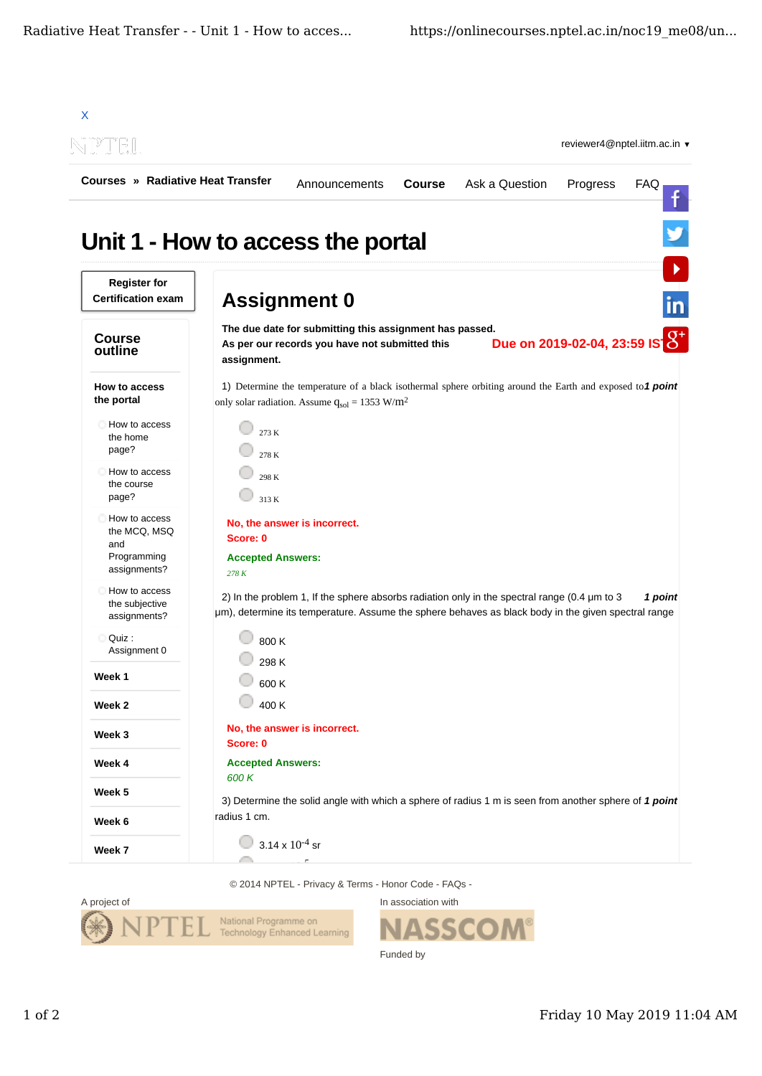

© 2014 NPTEL - Privacy & Terms - Honor Code - FAQs -